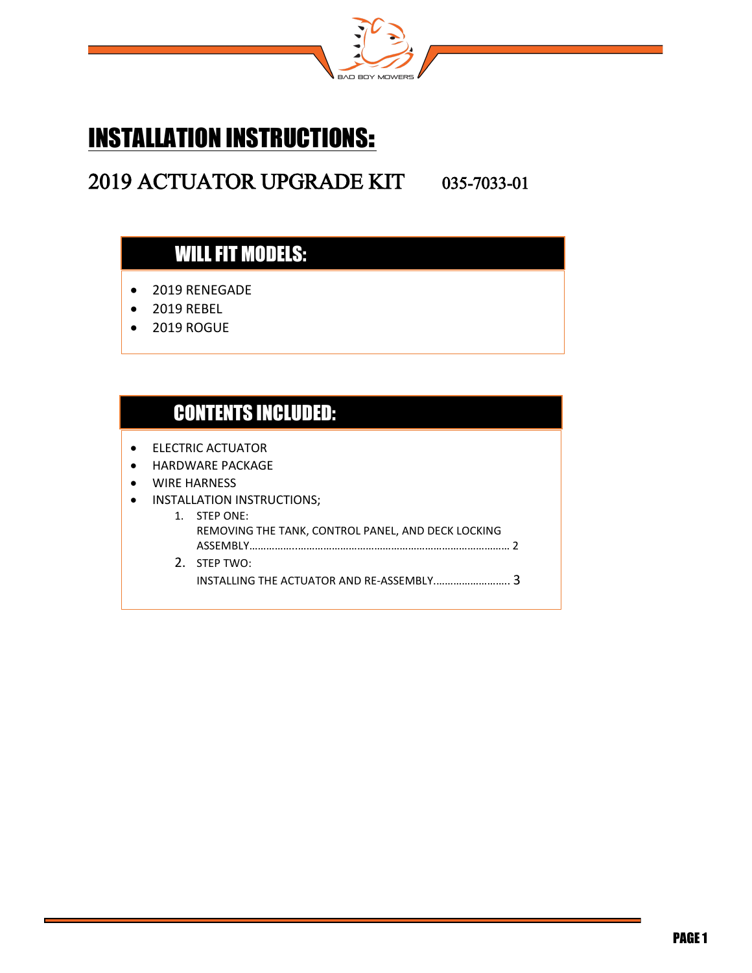

# INSTALLATION INSTRUCTIONS:

## 2019 ACTUATOR UPGRADE KIT 035-7033-01

## WILL FIT MODELS:

- $\bullet$ • 2019 RENEGADE
- 2019 REBEL

 $\overline{a}$ 

 $\overline{a}$ 

ׇ֖֬֕

 $\bullet$ • 2019 ROGUE

#### CONTENTS INCLUDED:

- $\ddot{\bullet}$ • ELECTRIC ACTUATOR
- HARDWARE PACKAGE
- WIRE HARNESS

#### • INSTALLATION INSTRUCTIONS;

1. STEP ONE: REMOVING THE TANK, CONTROL PANEL, AND DECK LOCKING ASSEMBLY……………..………………………………………………………………… 2 2. STEP TWO: INSTALLING THE ACTUATOR AND RE-ASSEMBLY.…………………….. 3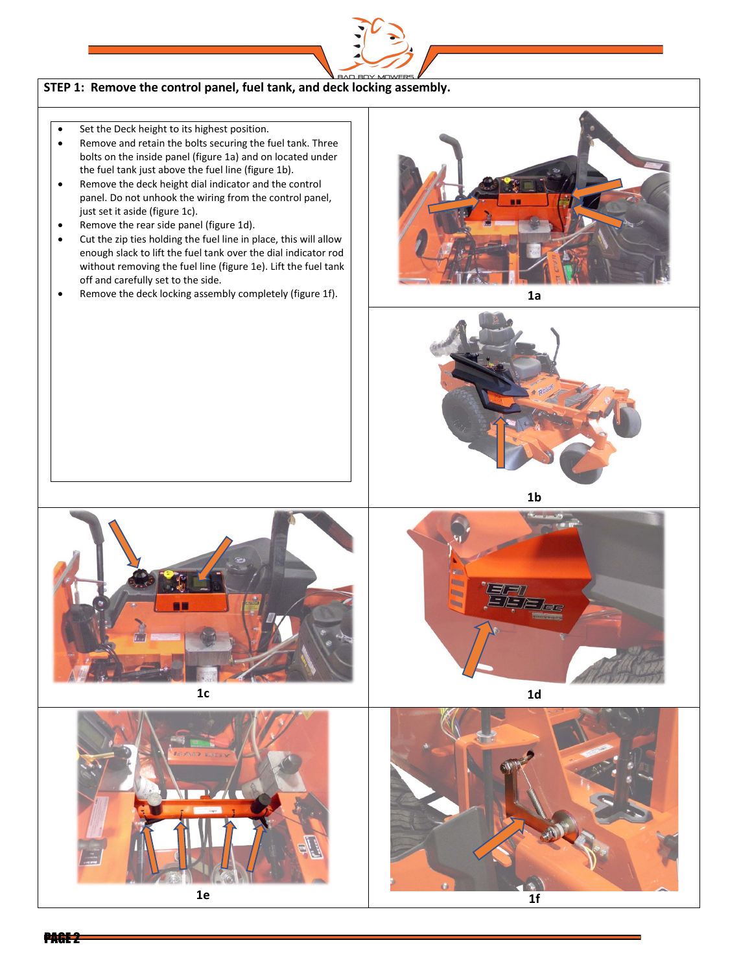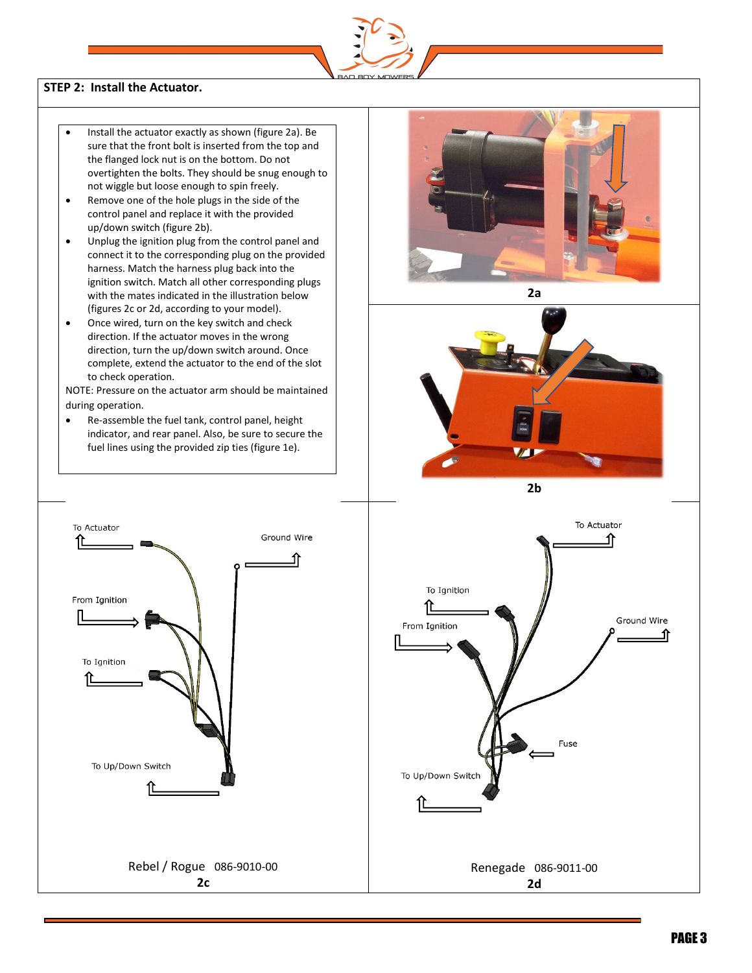

#### **STEP 2: Install the Actuator.**

- Install the actuator exactly as shown (figure 2a). Be sure that the front bolt is inserted from the top and the flanged lock nut is on the bottom. Do not overtighten the bolts. They should be snug enough to not wiggle but loose enough to spin freely.
- Remove one of the hole plugs in the side of the control panel and replace it with the provided up/down switch (figure 2b).
- Unplug the ignition plug from the control panel and connect it to the corresponding plug on the provided harness. Match the harness plug back into the ignition switch. Match all other corresponding plugs with the mates indicated in the illustration below (figures 2c or 2d, according to your model).
- Once wired, turn on the key switch and check direction. If the actuator moves in the wrong direction, turn the up/down switch around. Once complete, extend the actuator to the end of the slot to check operation.

NOTE: Pressure on the actuator arm should be maintained during operation.

• Re-assemble the fuel tank, control panel, height indicator, and rear panel. Also, be sure to secure the fuel lines using the provided zip ties (figure 1e).



**2a**



**2b**